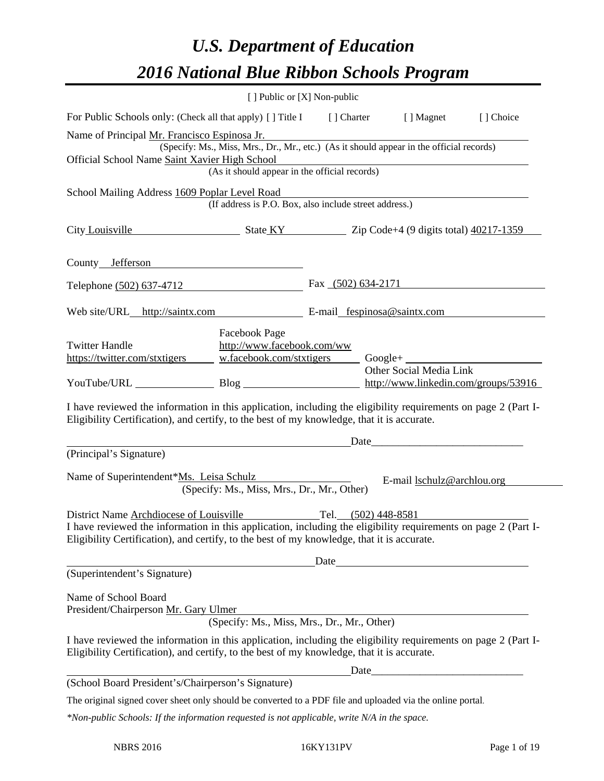# *U.S. Department of Education 2016 National Blue Ribbon Schools Program*

| [ ] Public or [X] Non-public                                                                                                                                                                                                                                                |  |  |                      |  |  |
|-----------------------------------------------------------------------------------------------------------------------------------------------------------------------------------------------------------------------------------------------------------------------------|--|--|----------------------|--|--|
| For Public Schools only: (Check all that apply) [] Title I [] Charter [] Magnet<br>[] Choice                                                                                                                                                                                |  |  |                      |  |  |
| Name of Principal Mr. Francisco Espinosa Jr.<br>(Specify: Ms., Miss, Mrs., Dr., Mr., etc.) (As it should appear in the official records)<br>Official School Name Saint Xavier High School<br>(As it should appear in the official records)                                  |  |  |                      |  |  |
|                                                                                                                                                                                                                                                                             |  |  |                      |  |  |
| School Mailing Address 1609 Poplar Level Road<br>(If address is P.O. Box, also include street address.)                                                                                                                                                                     |  |  |                      |  |  |
| City Louisville State KY Zip Code+4 (9 digits total) 40217-1359                                                                                                                                                                                                             |  |  |                      |  |  |
| County Jefferson                                                                                                                                                                                                                                                            |  |  |                      |  |  |
| Telephone (502) 637-4712                                                                                                                                                                                                                                                    |  |  | Fax $(502)$ 634-2171 |  |  |
| Web site/URL_http://saintx.com E-mail_fespinosa@saintx.com                                                                                                                                                                                                                  |  |  |                      |  |  |
| Facebook Page<br><b>Twitter Handle</b><br>http://www.facebook.com/ww<br>https://twitter.com/stxtigers<br>w.facebook.com/stxtigers<br>Other Social Media Link<br>YouTube/URL Blog Blog http://www.linkedin.com/groups/53916                                                  |  |  |                      |  |  |
| I have reviewed the information in this application, including the eligibility requirements on page 2 (Part I-<br>Eligibility Certification), and certify, to the best of my knowledge, that it is accurate.                                                                |  |  |                      |  |  |
| Date<br>(Principal's Signature)                                                                                                                                                                                                                                             |  |  |                      |  |  |
| Name of Superintendent*Ms. Leisa Schulz<br>E-mail lschulz@archlou.org<br>(Specify: Ms., Miss, Mrs., Dr., Mr., Other)                                                                                                                                                        |  |  |                      |  |  |
| District Name Archdiocese of Louisville Tel. (502) 448-8581<br>I have reviewed the information in this application, including the eligibility requirements on page 2 (Part I-<br>Eligibility Certification), and certify, to the best of my knowledge, that it is accurate. |  |  |                      |  |  |
| (Superintendent's Signature)                                                                                                                                                                                                                                                |  |  |                      |  |  |
| Name of School Board<br>President/Chairperson Mr. Gary Ulmer<br>(Specify: Ms., Miss, Mrs., Dr., Mr., Other)                                                                                                                                                                 |  |  |                      |  |  |
| I have reviewed the information in this application, including the eligibility requirements on page 2 (Part I-<br>Eligibility Certification), and certify, to the best of my knowledge, that it is accurate.                                                                |  |  |                      |  |  |
| (School Board President's/Chairperson's Signature)                                                                                                                                                                                                                          |  |  |                      |  |  |
| The original signed cover sheet only should be converted to a PDF file and uploaded via the online portal.                                                                                                                                                                  |  |  |                      |  |  |
| *Non-public Schools: If the information requested is not applicable, write N/A in the space.                                                                                                                                                                                |  |  |                      |  |  |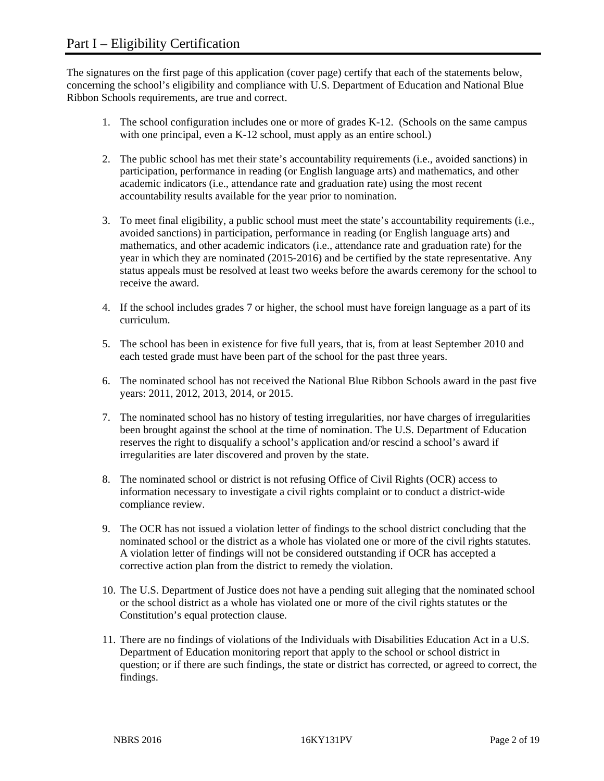The signatures on the first page of this application (cover page) certify that each of the statements below, concerning the school's eligibility and compliance with U.S. Department of Education and National Blue Ribbon Schools requirements, are true and correct.

- 1. The school configuration includes one or more of grades K-12. (Schools on the same campus with one principal, even a K-12 school, must apply as an entire school.)
- 2. The public school has met their state's accountability requirements (i.e., avoided sanctions) in participation, performance in reading (or English language arts) and mathematics, and other academic indicators (i.e., attendance rate and graduation rate) using the most recent accountability results available for the year prior to nomination.
- 3. To meet final eligibility, a public school must meet the state's accountability requirements (i.e., avoided sanctions) in participation, performance in reading (or English language arts) and mathematics, and other academic indicators (i.e., attendance rate and graduation rate) for the year in which they are nominated (2015-2016) and be certified by the state representative. Any status appeals must be resolved at least two weeks before the awards ceremony for the school to receive the award.
- 4. If the school includes grades 7 or higher, the school must have foreign language as a part of its curriculum.
- 5. The school has been in existence for five full years, that is, from at least September 2010 and each tested grade must have been part of the school for the past three years.
- 6. The nominated school has not received the National Blue Ribbon Schools award in the past five years: 2011, 2012, 2013, 2014, or 2015.
- 7. The nominated school has no history of testing irregularities, nor have charges of irregularities been brought against the school at the time of nomination. The U.S. Department of Education reserves the right to disqualify a school's application and/or rescind a school's award if irregularities are later discovered and proven by the state.
- 8. The nominated school or district is not refusing Office of Civil Rights (OCR) access to information necessary to investigate a civil rights complaint or to conduct a district-wide compliance review.
- 9. The OCR has not issued a violation letter of findings to the school district concluding that the nominated school or the district as a whole has violated one or more of the civil rights statutes. A violation letter of findings will not be considered outstanding if OCR has accepted a corrective action plan from the district to remedy the violation.
- 10. The U.S. Department of Justice does not have a pending suit alleging that the nominated school or the school district as a whole has violated one or more of the civil rights statutes or the Constitution's equal protection clause.
- 11. There are no findings of violations of the Individuals with Disabilities Education Act in a U.S. Department of Education monitoring report that apply to the school or school district in question; or if there are such findings, the state or district has corrected, or agreed to correct, the findings.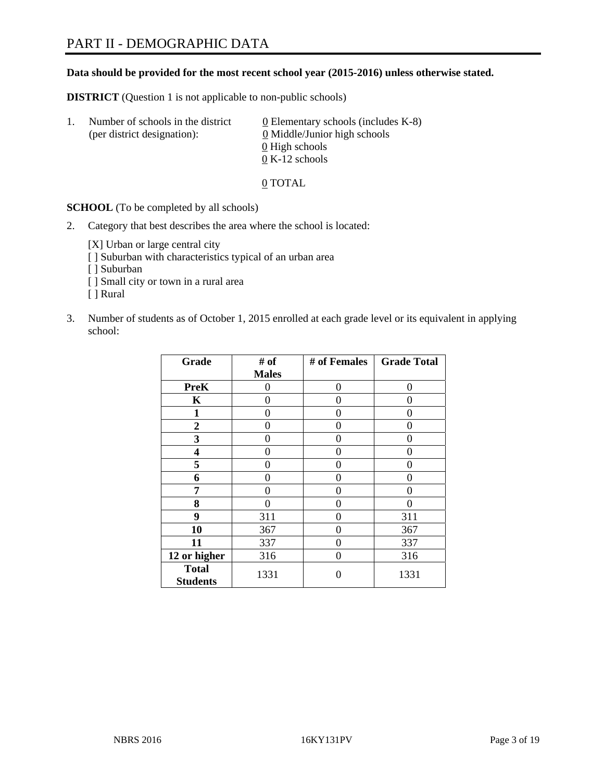#### **Data should be provided for the most recent school year (2015-2016) unless otherwise stated.**

**DISTRICT** (Question 1 is not applicable to non-public schools)

| Τ. | Number of schools in the district<br>(per district designation): | 0 Elementary schools (includes $K-8$ )<br>0 Middle/Junior high schools |
|----|------------------------------------------------------------------|------------------------------------------------------------------------|
|    |                                                                  | 0 High schools<br>$0 K-12$ schools                                     |

0 TOTAL

**SCHOOL** (To be completed by all schools)

2. Category that best describes the area where the school is located:

[X] Urban or large central city

- [ ] Suburban with characteristics typical of an urban area
- [ ] Suburban
- [ ] Small city or town in a rural area
- [ ] Rural
- 3. Number of students as of October 1, 2015 enrolled at each grade level or its equivalent in applying school:

| Grade                           | # of         | # of Females | <b>Grade Total</b> |
|---------------------------------|--------------|--------------|--------------------|
|                                 | <b>Males</b> |              |                    |
| <b>PreK</b>                     | 0            | 0            | 0                  |
| $\mathbf K$                     | 0            | 0            | 0                  |
| 1                               | 0            | 0            | 0                  |
| 2                               | 0            | 0            | 0                  |
| 3                               | 0            | 0            | 0                  |
| 4                               | 0            | 0            | $\mathbf{\Omega}$  |
| 5                               | 0            | 0            | $\mathbf{\Omega}$  |
| 6                               | 0            | 0            | 0                  |
| 7                               | 0            | 0            | 0                  |
| 8                               | 0            | 0            | 0                  |
| 9                               | 311          | 0            | 311                |
| 10                              | 367          | 0            | 367                |
| 11                              | 337          | 0            | 337                |
| 12 or higher                    | 316          | 0            | 316                |
| <b>Total</b><br><b>Students</b> | 1331         | 0            | 1331               |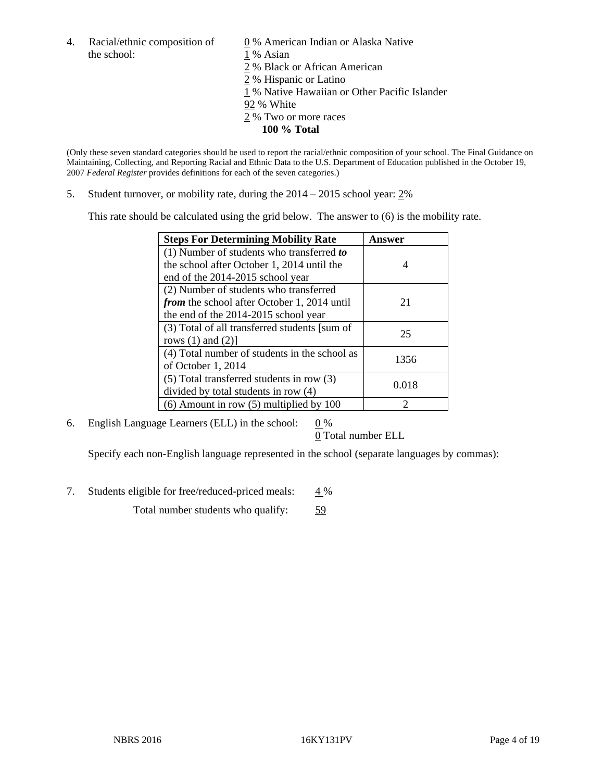4. Racial/ethnic composition of  $\qquad 0\%$  American Indian or Alaska Native the school: 1 % Asian

2 % Black or African American

- 2 % Hispanic or Latino
- 1 % Native Hawaiian or Other Pacific Islander
- 92 % White
- 2 % Two or more races
	- **100 % Total**

(Only these seven standard categories should be used to report the racial/ethnic composition of your school. The Final Guidance on Maintaining, Collecting, and Reporting Racial and Ethnic Data to the U.S. Department of Education published in the October 19, 2007 *Federal Register* provides definitions for each of the seven categories.)

5. Student turnover, or mobility rate, during the 2014 – 2015 school year: 2%

This rate should be calculated using the grid below. The answer to (6) is the mobility rate.

| <b>Steps For Determining Mobility Rate</b>    | Answer |  |
|-----------------------------------------------|--------|--|
| (1) Number of students who transferred to     |        |  |
| the school after October 1, 2014 until the    | 4      |  |
| end of the 2014-2015 school year              |        |  |
| (2) Number of students who transferred        |        |  |
| from the school after October 1, 2014 until   | 21     |  |
| the end of the 2014-2015 school year          |        |  |
| (3) Total of all transferred students [sum of | 25     |  |
| rows $(1)$ and $(2)$ ]                        |        |  |
| (4) Total number of students in the school as | 1356   |  |
| of October 1, 2014                            |        |  |
| (5) Total transferred students in row (3)     | 0.018  |  |
| divided by total students in row (4)          |        |  |
| $(6)$ Amount in row $(5)$ multiplied by 100   | っ      |  |

6. English Language Learners (ELL) in the school:  $0\%$ 

0 Total number ELL

Specify each non-English language represented in the school (separate languages by commas):

7. Students eligible for free/reduced-priced meals: 4 %

Total number students who qualify: 59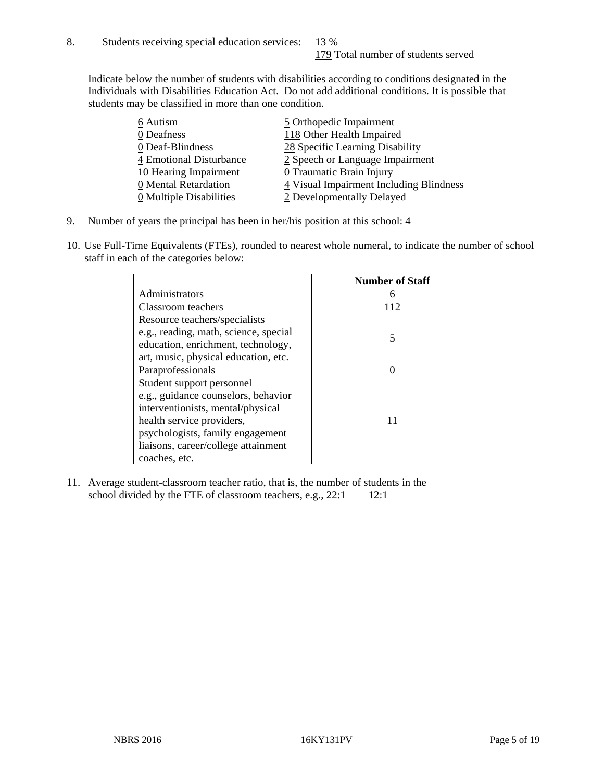Indicate below the number of students with disabilities according to conditions designated in the Individuals with Disabilities Education Act. Do not add additional conditions. It is possible that students may be classified in more than one condition.

| 6 Autism                              | 5 Orthopedic Impairment                 |
|---------------------------------------|-----------------------------------------|
| 0 Deafness                            | 118 Other Health Impaired               |
| 0 Deaf-Blindness                      | 28 Specific Learning Disability         |
| 4 Emotional Disturbance               | 2 Speech or Language Impairment         |
| 10 Hearing Impairment                 | $0$ Traumatic Brain Injury              |
| 0 Mental Retardation                  | 4 Visual Impairment Including Blindness |
| $\underline{0}$ Multiple Disabilities | 2 Developmentally Delayed               |

- 9. Number of years the principal has been in her/his position at this school:  $\frac{4}{3}$
- 10. Use Full-Time Equivalents (FTEs), rounded to nearest whole numeral, to indicate the number of school staff in each of the categories below:

|                                       | <b>Number of Staff</b> |
|---------------------------------------|------------------------|
| Administrators                        | h                      |
| Classroom teachers                    | 112                    |
| Resource teachers/specialists         |                        |
| e.g., reading, math, science, special | 5                      |
| education, enrichment, technology,    |                        |
| art, music, physical education, etc.  |                        |
| Paraprofessionals                     |                        |
| Student support personnel             |                        |
| e.g., guidance counselors, behavior   |                        |
| interventionists, mental/physical     |                        |
| health service providers,             |                        |
| psychologists, family engagement      |                        |
| liaisons, career/college attainment   |                        |
| coaches, etc.                         |                        |

11. Average student-classroom teacher ratio, that is, the number of students in the school divided by the FTE of classroom teachers, e.g.,  $22:1$  12:1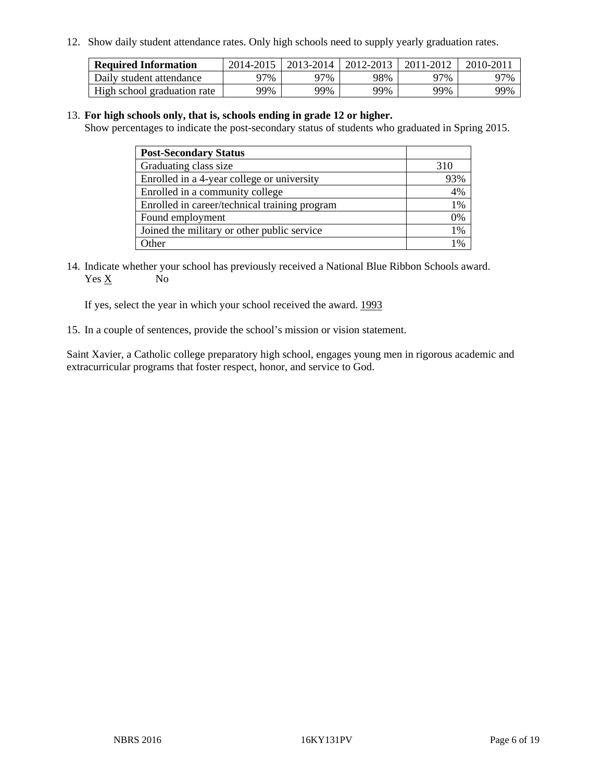12. Show daily student attendance rates. Only high schools need to supply yearly graduation rates.

| <b>Required Information</b> | 2014-2015 | 2013-2014 | $2012 - 2013$ | 2011-2012 | 2010-2011 |
|-----------------------------|-----------|-----------|---------------|-----------|-----------|
| Daily student attendance    | ว7%       | 97%       | 98%           | 77%       | 97%       |
| High school graduation rate | 99%       | 99%       | 99%           | 99%       | 99%       |

#### 13. **For high schools only, that is, schools ending in grade 12 or higher.**

Show percentages to indicate the post-secondary status of students who graduated in Spring 2015.

| <b>Post-Secondary Status</b>                  |       |
|-----------------------------------------------|-------|
| Graduating class size                         | 310   |
| Enrolled in a 4-year college or university    | 93%   |
| Enrolled in a community college               | 4%    |
| Enrolled in career/technical training program | 1%    |
| Found employment                              | 0%    |
| Joined the military or other public service   | $1\%$ |
| Other                                         | 1%    |

14. Indicate whether your school has previously received a National Blue Ribbon Schools award. Yes X No

If yes, select the year in which your school received the award. 1993

15. In a couple of sentences, provide the school's mission or vision statement.

Saint Xavier, a Catholic college preparatory high school, engages young men in rigorous academic and extracurricular programs that foster respect, honor, and service to God.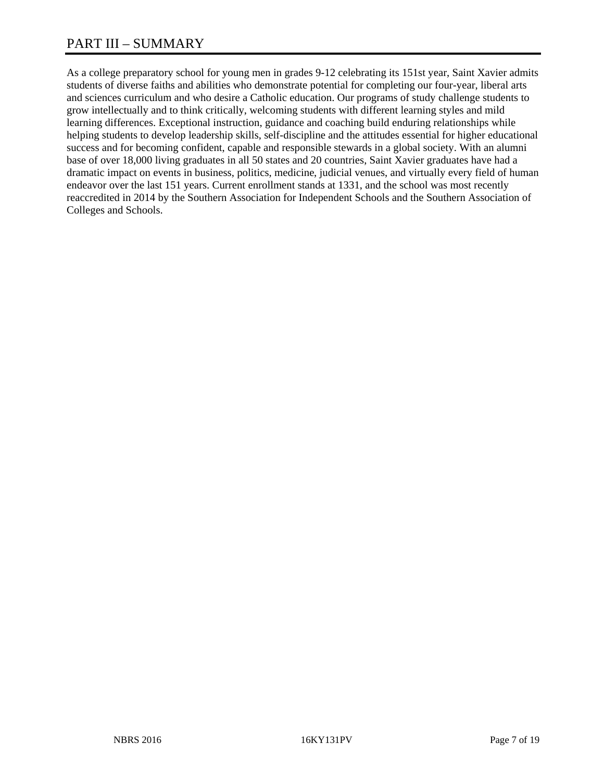# PART III – SUMMARY

As a college preparatory school for young men in grades 9-12 celebrating its 151st year, Saint Xavier admits students of diverse faiths and abilities who demonstrate potential for completing our four-year, liberal arts and sciences curriculum and who desire a Catholic education. Our programs of study challenge students to grow intellectually and to think critically, welcoming students with different learning styles and mild learning differences. Exceptional instruction, guidance and coaching build enduring relationships while helping students to develop leadership skills, self-discipline and the attitudes essential for higher educational success and for becoming confident, capable and responsible stewards in a global society. With an alumni base of over 18,000 living graduates in all 50 states and 20 countries, Saint Xavier graduates have had a dramatic impact on events in business, politics, medicine, judicial venues, and virtually every field of human endeavor over the last 151 years. Current enrollment stands at 1331, and the school was most recently reaccredited in 2014 by the Southern Association for Independent Schools and the Southern Association of Colleges and Schools.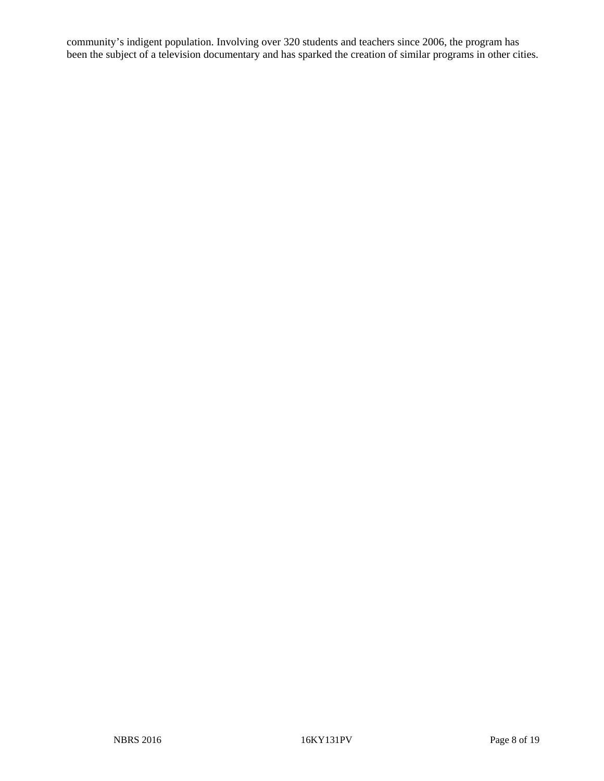community's indigent population. Involving over 320 students and teachers since 2006, the program has been the subject of a television documentary and has sparked the creation of similar programs in other cities.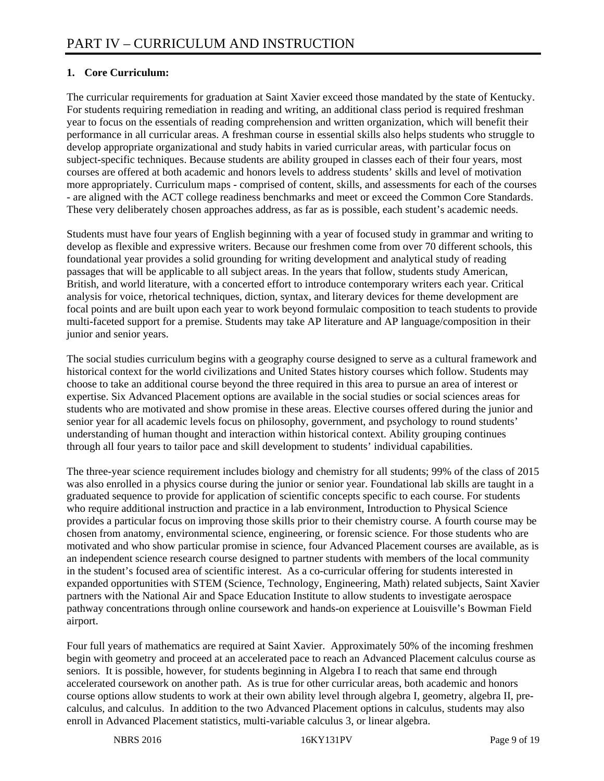## **1. Core Curriculum:**

The curricular requirements for graduation at Saint Xavier exceed those mandated by the state of Kentucky. For students requiring remediation in reading and writing, an additional class period is required freshman year to focus on the essentials of reading comprehension and written organization, which will benefit their performance in all curricular areas. A freshman course in essential skills also helps students who struggle to develop appropriate organizational and study habits in varied curricular areas, with particular focus on subject-specific techniques. Because students are ability grouped in classes each of their four years, most courses are offered at both academic and honors levels to address students' skills and level of motivation more appropriately. Curriculum maps - comprised of content, skills, and assessments for each of the courses - are aligned with the ACT college readiness benchmarks and meet or exceed the Common Core Standards. These very deliberately chosen approaches address, as far as is possible, each student's academic needs.

Students must have four years of English beginning with a year of focused study in grammar and writing to develop as flexible and expressive writers. Because our freshmen come from over 70 different schools, this foundational year provides a solid grounding for writing development and analytical study of reading passages that will be applicable to all subject areas. In the years that follow, students study American, British, and world literature, with a concerted effort to introduce contemporary writers each year. Critical analysis for voice, rhetorical techniques, diction, syntax, and literary devices for theme development are focal points and are built upon each year to work beyond formulaic composition to teach students to provide multi-faceted support for a premise. Students may take AP literature and AP language/composition in their junior and senior years.

The social studies curriculum begins with a geography course designed to serve as a cultural framework and historical context for the world civilizations and United States history courses which follow. Students may choose to take an additional course beyond the three required in this area to pursue an area of interest or expertise. Six Advanced Placement options are available in the social studies or social sciences areas for students who are motivated and show promise in these areas. Elective courses offered during the junior and senior year for all academic levels focus on philosophy, government, and psychology to round students' understanding of human thought and interaction within historical context. Ability grouping continues through all four years to tailor pace and skill development to students' individual capabilities.

The three-year science requirement includes biology and chemistry for all students; 99% of the class of 2015 was also enrolled in a physics course during the junior or senior year. Foundational lab skills are taught in a graduated sequence to provide for application of scientific concepts specific to each course. For students who require additional instruction and practice in a lab environment, Introduction to Physical Science provides a particular focus on improving those skills prior to their chemistry course. A fourth course may be chosen from anatomy, environmental science, engineering, or forensic science. For those students who are motivated and who show particular promise in science, four Advanced Placement courses are available, as is an independent science research course designed to partner students with members of the local community in the student's focused area of scientific interest. As a co-curricular offering for students interested in expanded opportunities with STEM (Science, Technology, Engineering, Math) related subjects, Saint Xavier partners with the National Air and Space Education Institute to allow students to investigate aerospace pathway concentrations through online coursework and hands-on experience at Louisville's Bowman Field airport.

Four full years of mathematics are required at Saint Xavier. Approximately 50% of the incoming freshmen begin with geometry and proceed at an accelerated pace to reach an Advanced Placement calculus course as seniors. It is possible, however, for students beginning in Algebra I to reach that same end through accelerated coursework on another path. As is true for other curricular areas, both academic and honors course options allow students to work at their own ability level through algebra I, geometry, algebra II, precalculus, and calculus. In addition to the two Advanced Placement options in calculus, students may also enroll in Advanced Placement statistics, multi-variable calculus 3, or linear algebra.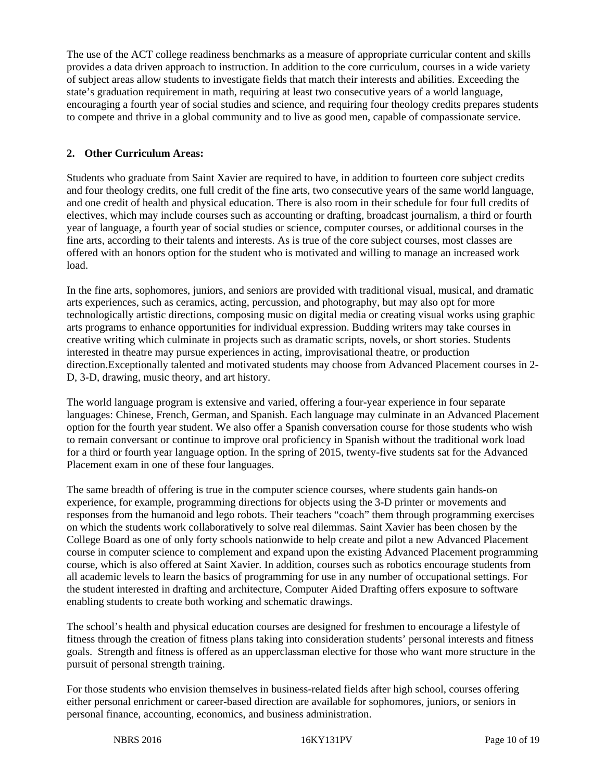The use of the ACT college readiness benchmarks as a measure of appropriate curricular content and skills provides a data driven approach to instruction. In addition to the core curriculum, courses in a wide variety of subject areas allow students to investigate fields that match their interests and abilities. Exceeding the state's graduation requirement in math, requiring at least two consecutive years of a world language, encouraging a fourth year of social studies and science, and requiring four theology credits prepares students to compete and thrive in a global community and to live as good men, capable of compassionate service.

## **2. Other Curriculum Areas:**

Students who graduate from Saint Xavier are required to have, in addition to fourteen core subject credits and four theology credits, one full credit of the fine arts, two consecutive years of the same world language, and one credit of health and physical education. There is also room in their schedule for four full credits of electives, which may include courses such as accounting or drafting, broadcast journalism, a third or fourth year of language, a fourth year of social studies or science, computer courses, or additional courses in the fine arts, according to their talents and interests. As is true of the core subject courses, most classes are offered with an honors option for the student who is motivated and willing to manage an increased work load.

In the fine arts, sophomores, juniors, and seniors are provided with traditional visual, musical, and dramatic arts experiences, such as ceramics, acting, percussion, and photography, but may also opt for more technologically artistic directions, composing music on digital media or creating visual works using graphic arts programs to enhance opportunities for individual expression. Budding writers may take courses in creative writing which culminate in projects such as dramatic scripts, novels, or short stories. Students interested in theatre may pursue experiences in acting, improvisational theatre, or production direction.Exceptionally talented and motivated students may choose from Advanced Placement courses in 2- D, 3-D, drawing, music theory, and art history.

The world language program is extensive and varied, offering a four-year experience in four separate languages: Chinese, French, German, and Spanish. Each language may culminate in an Advanced Placement option for the fourth year student. We also offer a Spanish conversation course for those students who wish to remain conversant or continue to improve oral proficiency in Spanish without the traditional work load for a third or fourth year language option. In the spring of 2015, twenty-five students sat for the Advanced Placement exam in one of these four languages.

The same breadth of offering is true in the computer science courses, where students gain hands-on experience, for example, programming directions for objects using the 3-D printer or movements and responses from the humanoid and lego robots. Their teachers "coach" them through programming exercises on which the students work collaboratively to solve real dilemmas. Saint Xavier has been chosen by the College Board as one of only forty schools nationwide to help create and pilot a new Advanced Placement course in computer science to complement and expand upon the existing Advanced Placement programming course, which is also offered at Saint Xavier. In addition, courses such as robotics encourage students from all academic levels to learn the basics of programming for use in any number of occupational settings. For the student interested in drafting and architecture, Computer Aided Drafting offers exposure to software enabling students to create both working and schematic drawings.

The school's health and physical education courses are designed for freshmen to encourage a lifestyle of fitness through the creation of fitness plans taking into consideration students' personal interests and fitness goals. Strength and fitness is offered as an upperclassman elective for those who want more structure in the pursuit of personal strength training.

For those students who envision themselves in business-related fields after high school, courses offering either personal enrichment or career-based direction are available for sophomores, juniors, or seniors in personal finance, accounting, economics, and business administration.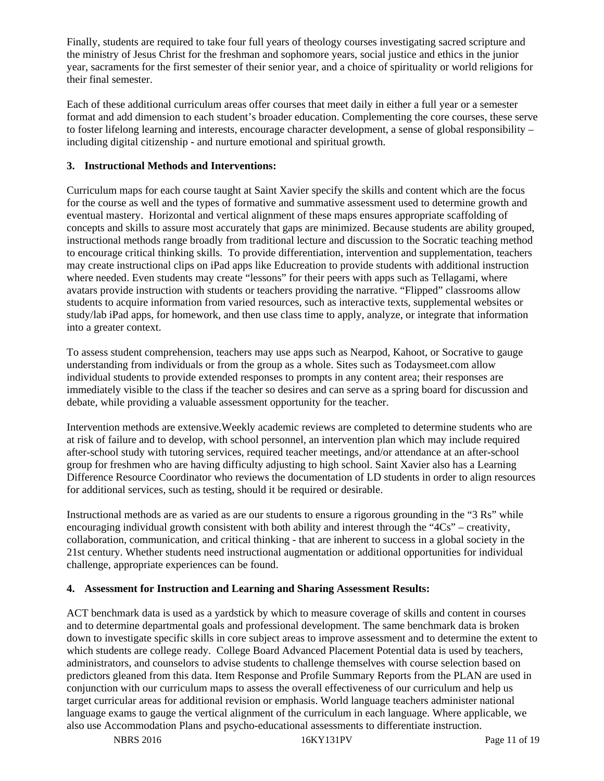Finally, students are required to take four full years of theology courses investigating sacred scripture and the ministry of Jesus Christ for the freshman and sophomore years, social justice and ethics in the junior year, sacraments for the first semester of their senior year, and a choice of spirituality or world religions for their final semester.

Each of these additional curriculum areas offer courses that meet daily in either a full year or a semester format and add dimension to each student's broader education. Complementing the core courses, these serve to foster lifelong learning and interests, encourage character development, a sense of global responsibility – including digital citizenship - and nurture emotional and spiritual growth.

#### **3. Instructional Methods and Interventions:**

Curriculum maps for each course taught at Saint Xavier specify the skills and content which are the focus for the course as well and the types of formative and summative assessment used to determine growth and eventual mastery. Horizontal and vertical alignment of these maps ensures appropriate scaffolding of concepts and skills to assure most accurately that gaps are minimized. Because students are ability grouped, instructional methods range broadly from traditional lecture and discussion to the Socratic teaching method to encourage critical thinking skills. To provide differentiation, intervention and supplementation, teachers may create instructional clips on iPad apps like Educreation to provide students with additional instruction where needed. Even students may create "lessons" for their peers with apps such as Tellagami, where avatars provide instruction with students or teachers providing the narrative. "Flipped" classrooms allow students to acquire information from varied resources, such as interactive texts, supplemental websites or study/lab iPad apps, for homework, and then use class time to apply, analyze, or integrate that information into a greater context.

To assess student comprehension, teachers may use apps such as Nearpod, Kahoot, or Socrative to gauge understanding from individuals or from the group as a whole. Sites such as Todaysmeet.com allow individual students to provide extended responses to prompts in any content area; their responses are immediately visible to the class if the teacher so desires and can serve as a spring board for discussion and debate, while providing a valuable assessment opportunity for the teacher.

Intervention methods are extensive.Weekly academic reviews are completed to determine students who are at risk of failure and to develop, with school personnel, an intervention plan which may include required after-school study with tutoring services, required teacher meetings, and/or attendance at an after-school group for freshmen who are having difficulty adjusting to high school. Saint Xavier also has a Learning Difference Resource Coordinator who reviews the documentation of LD students in order to align resources for additional services, such as testing, should it be required or desirable.

Instructional methods are as varied as are our students to ensure a rigorous grounding in the "3 Rs" while encouraging individual growth consistent with both ability and interest through the "4Cs" – creativity, collaboration, communication, and critical thinking - that are inherent to success in a global society in the 21st century. Whether students need instructional augmentation or additional opportunities for individual challenge, appropriate experiences can be found.

#### **4. Assessment for Instruction and Learning and Sharing Assessment Results:**

ACT benchmark data is used as a yardstick by which to measure coverage of skills and content in courses and to determine departmental goals and professional development. The same benchmark data is broken down to investigate specific skills in core subject areas to improve assessment and to determine the extent to which students are college ready. College Board Advanced Placement Potential data is used by teachers, administrators, and counselors to advise students to challenge themselves with course selection based on predictors gleaned from this data. Item Response and Profile Summary Reports from the PLAN are used in conjunction with our curriculum maps to assess the overall effectiveness of our curriculum and help us target curricular areas for additional revision or emphasis. World language teachers administer national language exams to gauge the vertical alignment of the curriculum in each language. Where applicable, we also use Accommodation Plans and psycho-educational assessments to differentiate instruction.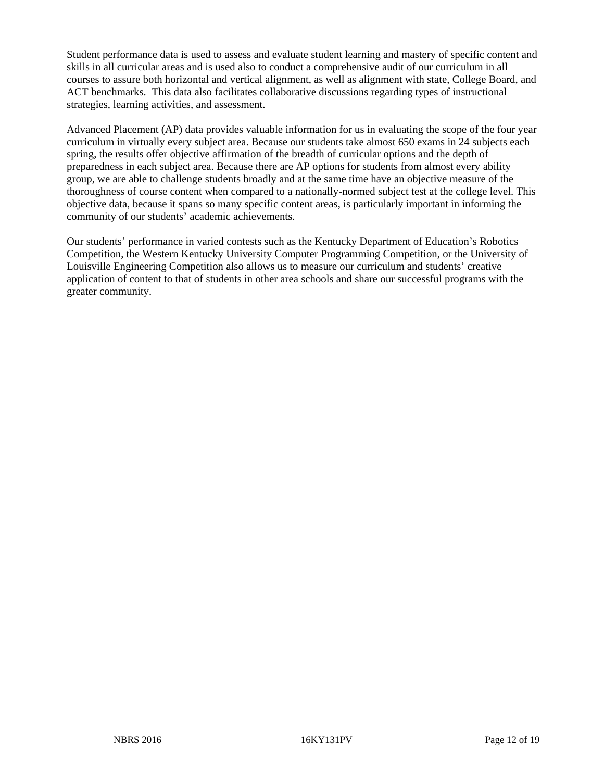Student performance data is used to assess and evaluate student learning and mastery of specific content and skills in all curricular areas and is used also to conduct a comprehensive audit of our curriculum in all courses to assure both horizontal and vertical alignment, as well as alignment with state, College Board, and ACT benchmarks. This data also facilitates collaborative discussions regarding types of instructional strategies, learning activities, and assessment.

Advanced Placement (AP) data provides valuable information for us in evaluating the scope of the four year curriculum in virtually every subject area. Because our students take almost 650 exams in 24 subjects each spring, the results offer objective affirmation of the breadth of curricular options and the depth of preparedness in each subject area. Because there are AP options for students from almost every ability group, we are able to challenge students broadly and at the same time have an objective measure of the thoroughness of course content when compared to a nationally-normed subject test at the college level. This objective data, because it spans so many specific content areas, is particularly important in informing the community of our students' academic achievements.

Our students' performance in varied contests such as the Kentucky Department of Education's Robotics Competition, the Western Kentucky University Computer Programming Competition, or the University of Louisville Engineering Competition also allows us to measure our curriculum and students' creative application of content to that of students in other area schools and share our successful programs with the greater community.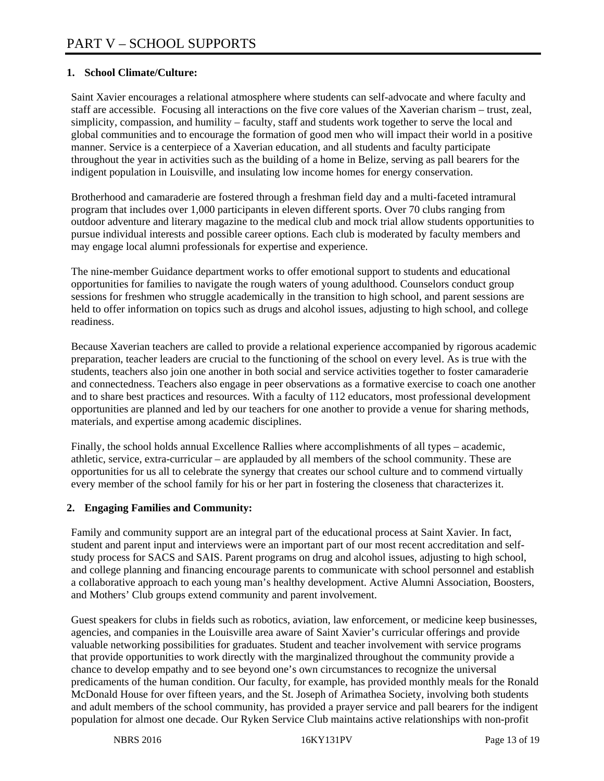## **1. School Climate/Culture:**

Saint Xavier encourages a relational atmosphere where students can self-advocate and where faculty and staff are accessible. Focusing all interactions on the five core values of the Xaverian charism – trust, zeal, simplicity, compassion, and humility – faculty, staff and students work together to serve the local and global communities and to encourage the formation of good men who will impact their world in a positive manner. Service is a centerpiece of a Xaverian education, and all students and faculty participate throughout the year in activities such as the building of a home in Belize, serving as pall bearers for the indigent population in Louisville, and insulating low income homes for energy conservation.

Brotherhood and camaraderie are fostered through a freshman field day and a multi-faceted intramural program that includes over 1,000 participants in eleven different sports. Over 70 clubs ranging from outdoor adventure and literary magazine to the medical club and mock trial allow students opportunities to pursue individual interests and possible career options. Each club is moderated by faculty members and may engage local alumni professionals for expertise and experience.

The nine-member Guidance department works to offer emotional support to students and educational opportunities for families to navigate the rough waters of young adulthood. Counselors conduct group sessions for freshmen who struggle academically in the transition to high school, and parent sessions are held to offer information on topics such as drugs and alcohol issues, adjusting to high school, and college readiness.

Because Xaverian teachers are called to provide a relational experience accompanied by rigorous academic preparation, teacher leaders are crucial to the functioning of the school on every level. As is true with the students, teachers also join one another in both social and service activities together to foster camaraderie and connectedness. Teachers also engage in peer observations as a formative exercise to coach one another and to share best practices and resources. With a faculty of 112 educators, most professional development opportunities are planned and led by our teachers for one another to provide a venue for sharing methods, materials, and expertise among academic disciplines.

Finally, the school holds annual Excellence Rallies where accomplishments of all types – academic, athletic, service, extra-curricular – are applauded by all members of the school community. These are opportunities for us all to celebrate the synergy that creates our school culture and to commend virtually every member of the school family for his or her part in fostering the closeness that characterizes it.

#### **2. Engaging Families and Community:**

Family and community support are an integral part of the educational process at Saint Xavier. In fact, student and parent input and interviews were an important part of our most recent accreditation and selfstudy process for SACS and SAIS. Parent programs on drug and alcohol issues, adjusting to high school, and college planning and financing encourage parents to communicate with school personnel and establish a collaborative approach to each young man's healthy development. Active Alumni Association, Boosters, and Mothers' Club groups extend community and parent involvement.

Guest speakers for clubs in fields such as robotics, aviation, law enforcement, or medicine keep businesses, agencies, and companies in the Louisville area aware of Saint Xavier's curricular offerings and provide valuable networking possibilities for graduates. Student and teacher involvement with service programs that provide opportunities to work directly with the marginalized throughout the community provide a chance to develop empathy and to see beyond one's own circumstances to recognize the universal predicaments of the human condition. Our faculty, for example, has provided monthly meals for the Ronald McDonald House for over fifteen years, and the St. Joseph of Arimathea Society, involving both students and adult members of the school community, has provided a prayer service and pall bearers for the indigent population for almost one decade. Our Ryken Service Club maintains active relationships with non-profit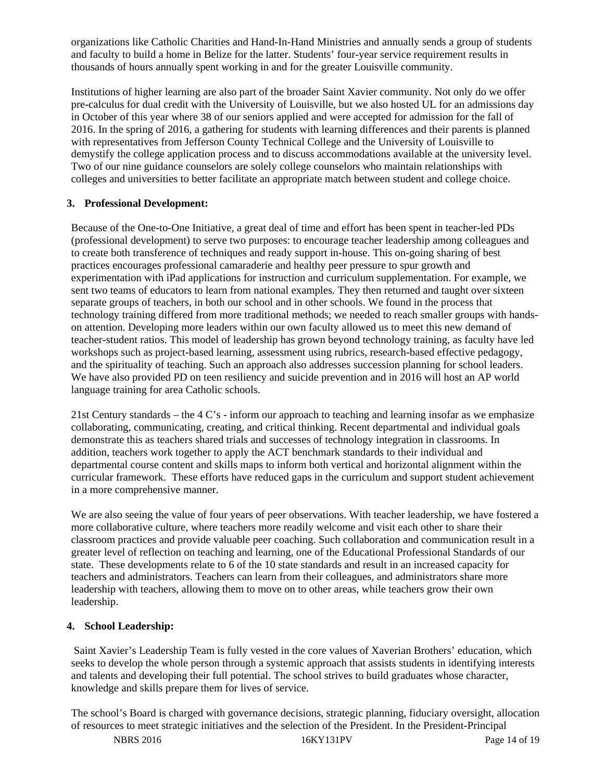organizations like Catholic Charities and Hand-In-Hand Ministries and annually sends a group of students and faculty to build a home in Belize for the latter. Students' four-year service requirement results in thousands of hours annually spent working in and for the greater Louisville community.

Institutions of higher learning are also part of the broader Saint Xavier community. Not only do we offer pre-calculus for dual credit with the University of Louisville, but we also hosted UL for an admissions day in October of this year where 38 of our seniors applied and were accepted for admission for the fall of 2016. In the spring of 2016, a gathering for students with learning differences and their parents is planned with representatives from Jefferson County Technical College and the University of Louisville to demystify the college application process and to discuss accommodations available at the university level. Two of our nine guidance counselors are solely college counselors who maintain relationships with colleges and universities to better facilitate an appropriate match between student and college choice.

#### **3. Professional Development:**

Because of the One-to-One Initiative, a great deal of time and effort has been spent in teacher-led PDs (professional development) to serve two purposes: to encourage teacher leadership among colleagues and to create both transference of techniques and ready support in-house. This on-going sharing of best practices encourages professional camaraderie and healthy peer pressure to spur growth and experimentation with iPad applications for instruction and curriculum supplementation. For example, we sent two teams of educators to learn from national examples. They then returned and taught over sixteen separate groups of teachers, in both our school and in other schools. We found in the process that technology training differed from more traditional methods; we needed to reach smaller groups with handson attention. Developing more leaders within our own faculty allowed us to meet this new demand of teacher-student ratios. This model of leadership has grown beyond technology training, as faculty have led workshops such as project-based learning, assessment using rubrics, research-based effective pedagogy, and the spirituality of teaching. Such an approach also addresses succession planning for school leaders. We have also provided PD on teen resiliency and suicide prevention and in 2016 will host an AP world language training for area Catholic schools.

21st Century standards – the 4 C's - inform our approach to teaching and learning insofar as we emphasize collaborating, communicating, creating, and critical thinking. Recent departmental and individual goals demonstrate this as teachers shared trials and successes of technology integration in classrooms. In addition, teachers work together to apply the ACT benchmark standards to their individual and departmental course content and skills maps to inform both vertical and horizontal alignment within the curricular framework. These efforts have reduced gaps in the curriculum and support student achievement in a more comprehensive manner.

We are also seeing the value of four years of peer observations. With teacher leadership, we have fostered a more collaborative culture, where teachers more readily welcome and visit each other to share their classroom practices and provide valuable peer coaching. Such collaboration and communication result in a greater level of reflection on teaching and learning, one of the Educational Professional Standards of our state. These developments relate to 6 of the 10 state standards and result in an increased capacity for teachers and administrators. Teachers can learn from their colleagues, and administrators share more leadership with teachers, allowing them to move on to other areas, while teachers grow their own leadership.

#### **4. School Leadership:**

 Saint Xavier's Leadership Team is fully vested in the core values of Xaverian Brothers' education, which seeks to develop the whole person through a systemic approach that assists students in identifying interests and talents and developing their full potential. The school strives to build graduates whose character, knowledge and skills prepare them for lives of service.

The school's Board is charged with governance decisions, strategic planning, fiduciary oversight, allocation of resources to meet strategic initiatives and the selection of the President. In the President-Principal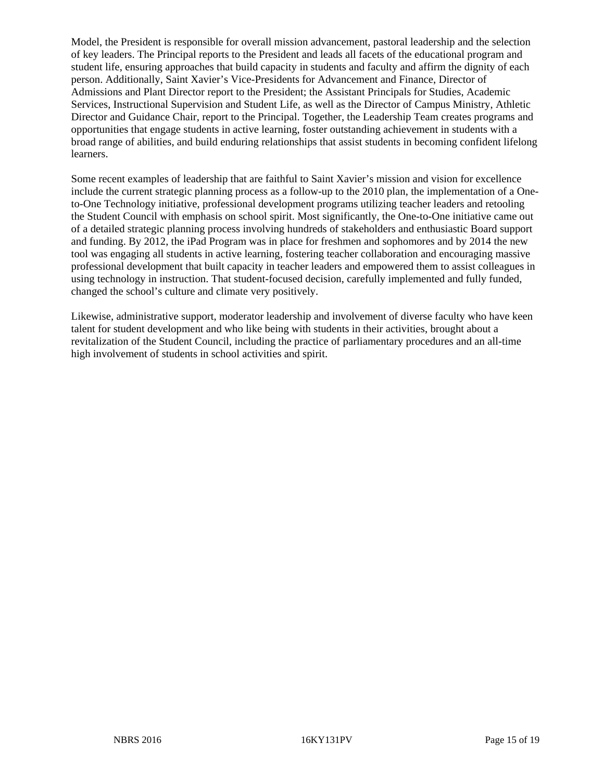Model, the President is responsible for overall mission advancement, pastoral leadership and the selection of key leaders. The Principal reports to the President and leads all facets of the educational program and student life, ensuring approaches that build capacity in students and faculty and affirm the dignity of each person. Additionally, Saint Xavier's Vice-Presidents for Advancement and Finance, Director of Admissions and Plant Director report to the President; the Assistant Principals for Studies, Academic Services, Instructional Supervision and Student Life, as well as the Director of Campus Ministry, Athletic Director and Guidance Chair, report to the Principal. Together, the Leadership Team creates programs and opportunities that engage students in active learning, foster outstanding achievement in students with a broad range of abilities, and build enduring relationships that assist students in becoming confident lifelong learners.

Some recent examples of leadership that are faithful to Saint Xavier's mission and vision for excellence include the current strategic planning process as a follow-up to the 2010 plan, the implementation of a Oneto-One Technology initiative, professional development programs utilizing teacher leaders and retooling the Student Council with emphasis on school spirit. Most significantly, the One-to-One initiative came out of a detailed strategic planning process involving hundreds of stakeholders and enthusiastic Board support and funding. By 2012, the iPad Program was in place for freshmen and sophomores and by 2014 the new tool was engaging all students in active learning, fostering teacher collaboration and encouraging massive professional development that built capacity in teacher leaders and empowered them to assist colleagues in using technology in instruction. That student-focused decision, carefully implemented and fully funded, changed the school's culture and climate very positively.

Likewise, administrative support, moderator leadership and involvement of diverse faculty who have keen talent for student development and who like being with students in their activities, brought about a revitalization of the Student Council, including the practice of parliamentary procedures and an all-time high involvement of students in school activities and spirit.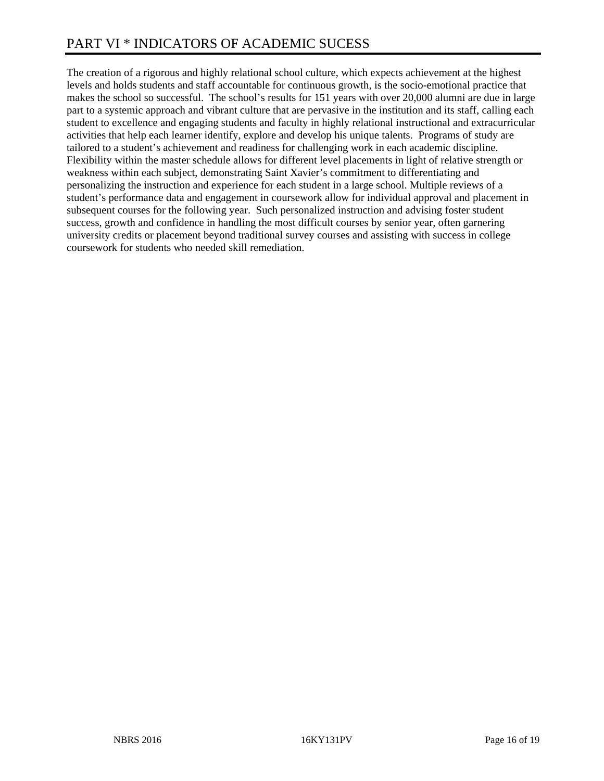The creation of a rigorous and highly relational school culture, which expects achievement at the highest levels and holds students and staff accountable for continuous growth, is the socio-emotional practice that makes the school so successful. The school's results for 151 years with over 20,000 alumni are due in large part to a systemic approach and vibrant culture that are pervasive in the institution and its staff, calling each student to excellence and engaging students and faculty in highly relational instructional and extracurricular activities that help each learner identify, explore and develop his unique talents. Programs of study are tailored to a student's achievement and readiness for challenging work in each academic discipline. Flexibility within the master schedule allows for different level placements in light of relative strength or weakness within each subject, demonstrating Saint Xavier's commitment to differentiating and personalizing the instruction and experience for each student in a large school. Multiple reviews of a student's performance data and engagement in coursework allow for individual approval and placement in subsequent courses for the following year. Such personalized instruction and advising foster student success, growth and confidence in handling the most difficult courses by senior year, often garnering university credits or placement beyond traditional survey courses and assisting with success in college coursework for students who needed skill remediation.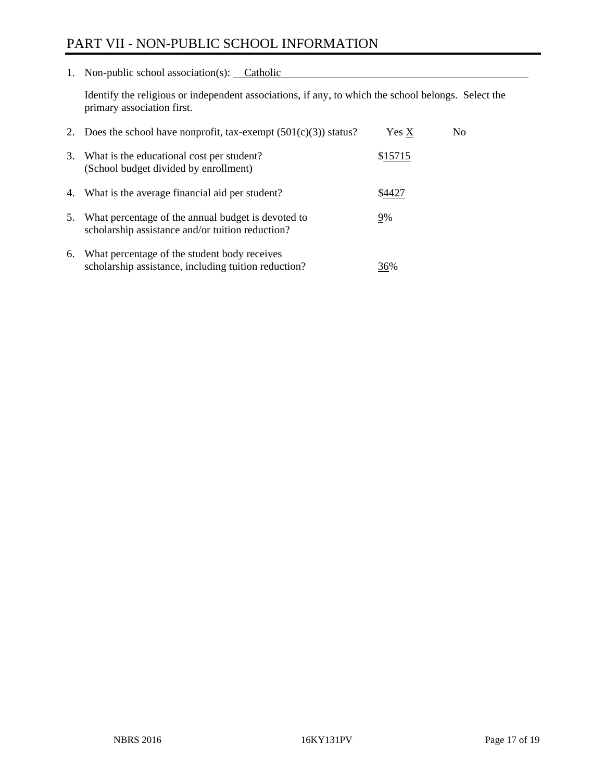# PART VII - NON-PUBLIC SCHOOL INFORMATION

1. Non-public school association(s): Catholic

Identify the religious or independent associations, if any, to which the school belongs. Select the primary association first.

| 2. | Does the school have nonprofit, tax-exempt $(501(c)(3))$ status?                                       | Yes X   | No. |
|----|--------------------------------------------------------------------------------------------------------|---------|-----|
| 3. | What is the educational cost per student?<br>(School budget divided by enrollment)                     | \$15715 |     |
|    | 4. What is the average financial aid per student?                                                      | \$4427  |     |
| 5. | What percentage of the annual budget is devoted to<br>scholarship assistance and/or tuition reduction? | 9%      |     |
| 6. | What percentage of the student body receives<br>scholarship assistance, including tuition reduction?   | 36%     |     |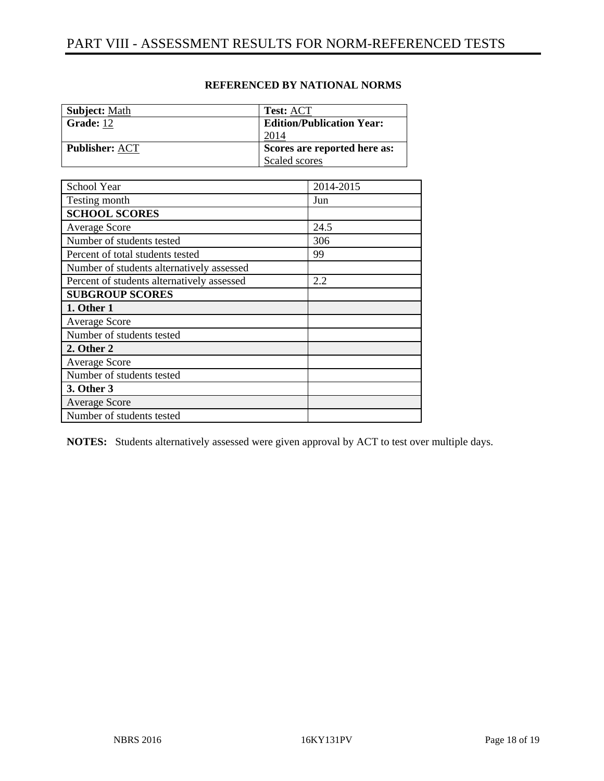| <b>Subject: Math</b>  | <b>Test: ACT</b>                 |
|-----------------------|----------------------------------|
| Grade: 12             | <b>Edition/Publication Year:</b> |
|                       | 2014                             |
| <b>Publisher: ACT</b> | Scores are reported here as:     |
|                       | Scaled scores                    |

#### **REFERENCED BY NATIONAL NORMS**

| School Year                                | 2014-2015 |
|--------------------------------------------|-----------|
| Testing month                              | Jun       |
| <b>SCHOOL SCORES</b>                       |           |
| <b>Average Score</b>                       | 24.5      |
| Number of students tested                  | 306       |
| Percent of total students tested           | 99        |
| Number of students alternatively assessed  |           |
| Percent of students alternatively assessed | 2.2       |
| <b>SUBGROUP SCORES</b>                     |           |
| 1. Other 1                                 |           |
| <b>Average Score</b>                       |           |
| Number of students tested                  |           |
| 2. Other 2                                 |           |
| <b>Average Score</b>                       |           |
| Number of students tested                  |           |
| 3. Other 3                                 |           |
| <b>Average Score</b>                       |           |
| Number of students tested                  |           |

**NOTES:** Students alternatively assessed were given approval by ACT to test over multiple days.